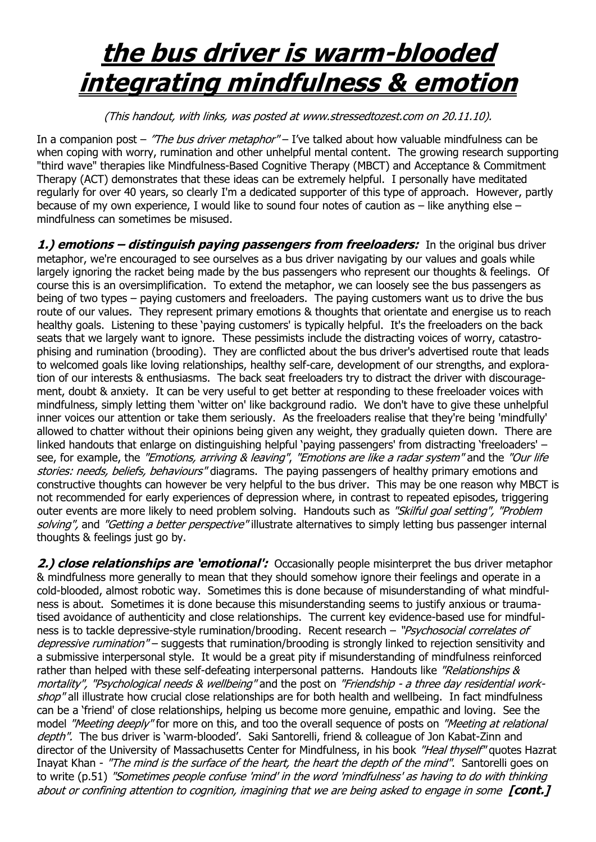## **the bus driver is warm-blooded integrating mindfulness & emotion**

(This handout, with links, was posted at www.stressedtozest.com on 20.11.10).

In a companion post – "The bus driver metaphor" – I've talked about how valuable mindfulness can be when coping with worry, rumination and other unhelpful mental content. The growing research supporting "third wave" therapies like Mindfulness-Based Cognitive Therapy (MBCT) and Acceptance & Commitment Therapy (ACT) demonstrates that these ideas can be extremely helpful. I personally have meditated regularly for over 40 years, so clearly I'm a dedicated supporter of this type of approach. However, partly because of my own experience, I would like to sound four notes of caution as – like anything else – mindfulness can sometimes be misused.

1.) **emotions – distinguish paying passengers from freeloaders:** In the original bus driver metaphor, we're encouraged to see ourselves as a bus driver navigating by our values and goals while largely ignoring the racket being made by the bus passengers who represent our thoughts & feelings. Of course this is an oversimplification. To extend the metaphor, we can loosely see the bus passengers as being of two types – paying customers and freeloaders. The paying customers want us to drive the bus route of our values. They represent primary emotions & thoughts that orientate and energise us to reach healthy goals. Listening to these "paying customers' is typically helpful. It's the freeloaders on the back seats that we largely want to ignore. These pessimists include the distracting voices of worry, catastrophising and rumination (brooding). They are conflicted about the bus driver's advertised route that leads to welcomed goals like loving relationships, healthy self-care, development of our strengths, and exploration of our interests & enthusiasms. The back seat freeloaders try to distract the driver with discouragement, doubt & anxiety. It can be very useful to get better at responding to these freeloader voices with mindfulness, simply letting them "witter on' like background radio. We don't have to give these unhelpful inner voices our attention or take them seriously. As the freeloaders realise that they're being 'mindfully' allowed to chatter without their opinions being given any weight, they gradually quieten down. There are linked handouts that enlarge on distinguishing helpful 'paying passengers' from distracting 'freeloaders' – see, for example, the "Emotions, arriving & leaving", "Emotions are like a radar system" and the "Our life stories: needs, beliefs, behaviours" diagrams. The paying passengers of healthy primary emotions and constructive thoughts can however be very helpful to the bus driver. This may be one reason why MBCT is not recommended for early experiences of depression where, in contrast to repeated episodes, triggering outer events are more likely to need problem solving. Handouts such as "Skilful goal setting", "Problem solving", and "Getting a better perspective" illustrate alternatives to simply letting bus passenger internal thoughts & feelings just go by.

2.) **close relationships are 'emotional':** Occasionally people misinterpret the bus driver metaphor & mindfulness more generally to mean that they should somehow ignore their feelings and operate in a cold-blooded, almost robotic way. Sometimes this is done because of misunderstanding of what mindfulness is about. Sometimes it is done because this misunderstanding seems to justify anxious or traumatised avoidance of authenticity and close relationships. The current key evidence-based use for mindfulness is to tackle depressive-style rumination/brooding. Recent research - "*Psychosocial correlates of* depressive rumination" – suggests that rumination/brooding is strongly linked to rejection sensitivity and a submissive interpersonal style. It would be a great pity if misunderstanding of mindfulness reinforced rather than helped with these self-defeating interpersonal patterns. Handouts like "Relationships & mortality", "Psychological needs & wellbeing" and the post on "Friendship - a three day residential workshop" all illustrate how crucial close relationships are for both health and wellbeing. In fact mindfulness can be a "friend' of close relationships, helping us become more genuine, empathic and loving. See the model "Meeting deeply" for more on this, and too the overall sequence of posts on "Meeting at relational depth". The bus driver is 'warm-blooded'. Saki Santorelli, friend & colleague of Jon Kabat-Zinn and director of the University of Massachusetts Center for Mindfulness, in his book "Heal thyself" quotes Hazrat Inayat Khan - "The mind is the surface of the heart, the heart the depth of the mind". Santorelli goes on to write (p.51) "Sometimes people confuse 'mind' in the word 'mindfulness' as having to do with thinking about or confining attention to cognition, imagining that we are being asked to engage in some **[cont.]**